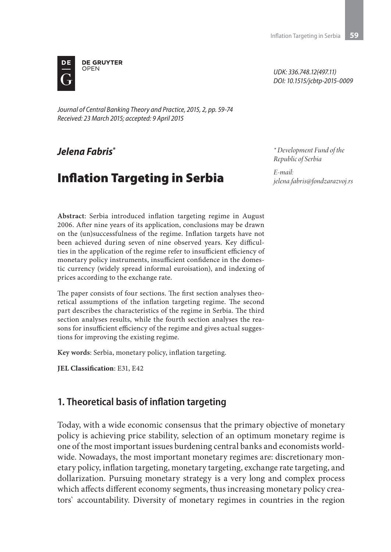*UDK: 336.748.12(497.11) DOI: 10.1515/jcbtp-2015-0009*



*Journal of Central Banking Theory and Practice, 2015, 2, pp. 59-74 Received: 23 March 2015; accepted: 9 April 2015*

# *Jelena Fabris\**

# Inflation Targeting in Serbia

*\* Development Fund of the Republic of Serbia*

*E-mail: jelena.fabris@fondzarazvoj.rs*

**Abstract**: Serbia introduced inflation targeting regime in August 2006. After nine years of its application, conclusions may be drawn on the (un)successfulness of the regime. Inflation targets have not been achieved during seven of nine observed years. Key difficulties in the application of the regime refer to insufficient efficiency of monetary policy instruments, insufficient confidence in the domestic currency (widely spread informal euroisation), and indexing of prices according to the exchange rate.

The paper consists of four sections. The first section analyses theoretical assumptions of the inflation targeting regime. The second part describes the characteristics of the regime in Serbia. The third section analyses results, while the fourth section analyses the reasons for insufficient efficiency of the regime and gives actual suggestions for improving the existing regime.

**Key words**: Serbia, monetary policy, inflation targeting.

**JEL Classification**: E31, E42

### **1. Theoretical basis of inflation targeting**

Today, with a wide economic consensus that the primary objective of monetary policy is achieving price stability, selection of an optimum monetary regime is one of the most important issues burdening central banks and economists worldwide. Nowadays, the most important monetary regimes are: discretionary monetary policy, inflation targeting, monetary targeting, exchange rate targeting, and dollarization. Pursuing monetary strategy is a very long and complex process which affects different economy segments, thus increasing monetary policy creators` accountability. Diversity of monetary regimes in countries in the region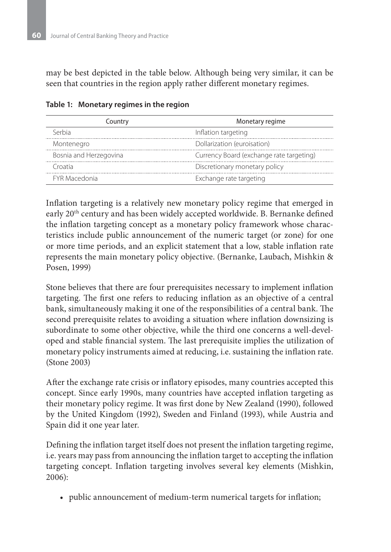may be best depicted in the table below. Although being very similar, it can be seen that countries in the region apply rather different monetary regimes.

| Country                | Monetary regime                          |
|------------------------|------------------------------------------|
| Serbia                 | Inflation targeting                      |
| Montenegro             | Dollarization (euroisation)              |
| Bosnia and Herzegovina | Currency Board (exchange rate targeting) |
| Croatia                | Discretionary monetary policy            |
| <b>FYR Macedonia</b>   | Exchange rate targeting                  |

**Table 1: Monetary regimes in the region**

Inflation targeting is a relatively new monetary policy regime that emerged in early 20th century and has been widely accepted worldwide. B. Bernanke defined the inflation targeting concept as a monetary policy framework whose characteristics include public announcement of the numeric target (or zone) for one or more time periods, and an explicit statement that a low, stable inflation rate represents the main monetary policy objective. (Bernanke, Laubach, Mishkin & Posen, 1999)

Stone believes that there are four prerequisites necessary to implement inflation targeting. The first one refers to reducing inflation as an objective of a central bank, simultaneously making it one of the responsibilities of a central bank. The second prerequisite relates to avoiding a situation where inflation downsizing is subordinate to some other objective, while the third one concerns a well-developed and stable financial system. The last prerequisite implies the utilization of monetary policy instruments aimed at reducing, i.e. sustaining the inflation rate. (Stone 2003)

After the exchange rate crisis or inflatory episodes, many countries accepted this concept. Since early 1990s, many countries have accepted inflation targeting as their monetary policy regime. It was first done by New Zealand (1990), followed by the United Kingdom (1992), Sweden and Finland (1993), while Austria and Spain did it one year later.

Defining the inflation target itself does not present the inflation targeting regime, i.e. years may pass from announcing the inflation target to accepting the inflation targeting concept. Inflation targeting involves several key elements (Mishkin, 2006):

• public announcement of medium-term numerical targets for inflation;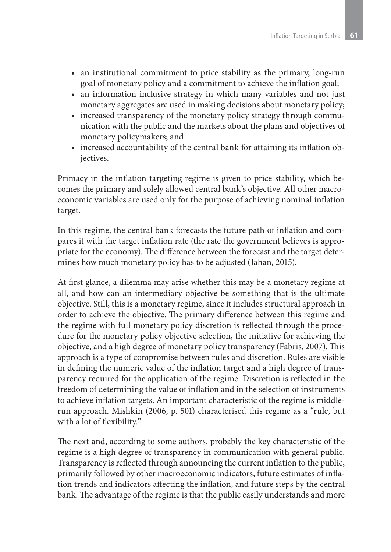- an institutional commitment to price stability as the primary, long-run goal of monetary policy and a commitment to achieve the inflation goal;
- an information inclusive strategy in which many variables and not just monetary aggregates are used in making decisions about monetary policy;
- increased transparency of the monetary policy strategy through communication with the public and the markets about the plans and objectives of monetary policymakers; and
- increased accountability of the central bank for attaining its inflation objectives.

Primacy in the inflation targeting regime is given to price stability, which becomes the primary and solely allowed central bank's objective. All other macroeconomic variables are used only for the purpose of achieving nominal inflation target.

In this regime, the central bank forecasts the future path of inflation and compares it with the target inflation rate (the rate the government believes is appropriate for the economy). The difference between the forecast and the target determines how much monetary policy has to be adjusted (Jahan, 2015).

At first glance, a dilemma may arise whether this may be a monetary regime at all, and how can an intermediary objective be something that is the ultimate objective. Still, this is a monetary regime, since it includes structural approach in order to achieve the objective. The primary difference between this regime and the regime with full monetary policy discretion is reflected through the procedure for the monetary policy objective selection, the initiative for achieving the objective, and a high degree of monetary policy transparency (Fabris, 2007). This approach is a type of compromise between rules and discretion. Rules are visible in defining the numeric value of the inflation target and a high degree of transparency required for the application of the regime. Discretion is reflected in the freedom of determining the value of inflation and in the selection of instruments to achieve inflation targets. An important characteristic of the regime is middlerun approach. Mishkin (2006, p. 501) characterised this regime as a "rule, but with a lot of flexibility."

The next and, according to some authors, probably the key characteristic of the regime is a high degree of transparency in communication with general public. Transparency is reflected through announcing the current inflation to the public, primarily followed by other macroeconomic indicators, future estimates of inflation trends and indicators affecting the inflation, and future steps by the central bank. The advantage of the regime is that the public easily understands and more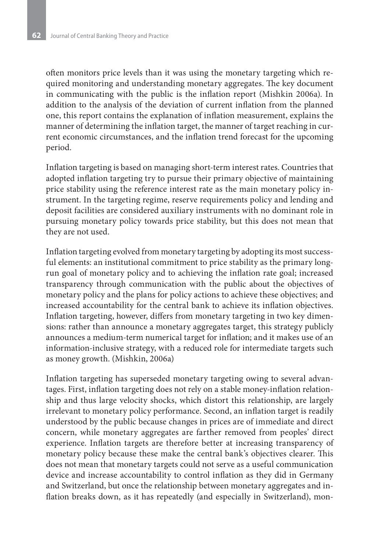often monitors price levels than it was using the monetary targeting which required monitoring and understanding monetary aggregates. The key document in communicating with the public is the inflation report (Mishkin 2006a). In addition to the analysis of the deviation of current inflation from the planned one, this report contains the explanation of inflation measurement, explains the manner of determining the inflation target, the manner of target reaching in current economic circumstances, and the inflation trend forecast for the upcoming period.

Inflation targeting is based on managing short-term interest rates. Countries that adopted inflation targeting try to pursue their primary objective of maintaining price stability using the reference interest rate as the main monetary policy instrument. In the targeting regime, reserve requirements policy and lending and deposit facilities are considered auxiliary instruments with no dominant role in pursuing monetary policy towards price stability, but this does not mean that they are not used.

Inflation targeting evolved from monetary targeting by adopting its most successful elements: an institutional commitment to price stability as the primary longrun goal of monetary policy and to achieving the inflation rate goal; increased transparency through communication with the public about the objectives of monetary policy and the plans for policy actions to achieve these objectives; and increased accountability for the central bank to achieve its inflation objectives. Inflation targeting, however, differs from monetary targeting in two key dimensions: rather than announce a monetary aggregates target, this strategy publicly announces a medium-term numerical target for inflation; and it makes use of an information-inclusive strategy, with a reduced role for intermediate targets such as money growth. (Mishkin, 2006a)

Inflation targeting has superseded monetary targeting owing to several advantages. First, inflation targeting does not rely on a stable money-inflation relationship and thus large velocity shocks, which distort this relationship, are largely irrelevant to monetary policy performance. Second, an inflation target is readily understood by the public because changes in prices are of immediate and direct concern, while monetary aggregates are farther removed from peoples' direct experience. Inflation targets are therefore better at increasing transparency of monetary policy because these make the central bank's objectives clearer. This does not mean that monetary targets could not serve as a useful communication device and increase accountability to control inflation as they did in Germany and Switzerland, but once the relationship between monetary aggregates and inflation breaks down, as it has repeatedly (and especially in Switzerland), mon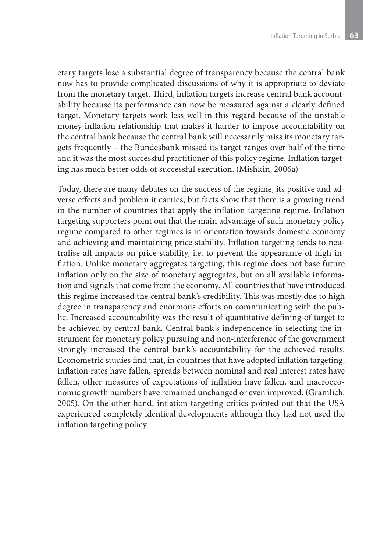etary targets lose a substantial degree of transparency because the central bank now has to provide complicated discussions of why it is appropriate to deviate from the monetary target. Third, inflation targets increase central bank accountability because its performance can now be measured against a clearly defined target. Monetary targets work less well in this regard because of the unstable money-inflation relationship that makes it harder to impose accountability on the central bank because the central bank will necessarily miss its monetary targets frequently – the Bundesbank missed its target ranges over half of the time and it was the most successful practitioner of this policy regime. Inflation targeting has much better odds of successful execution. (Mishkin, 2006a)

Today, there are many debates on the success of the regime, its positive and adverse effects and problem it carries, but facts show that there is a growing trend in the number of countries that apply the inflation targeting regime. Inflation targeting supporters point out that the main advantage of such monetary policy regime compared to other regimes is in orientation towards domestic economy and achieving and maintaining price stability. Inflation targeting tends to neutralise all impacts on price stability, i.e. to prevent the appearance of high inflation. Unlike monetary aggregates targeting, this regime does not base future inflation only on the size of monetary aggregates, but on all available information and signals that come from the economy. All countries that have introduced this regime increased the central bank's credibility. This was mostly due to high degree in transparency and enormous efforts on communicating with the public. Increased accountability was the result of quantitative defining of target to be achieved by central bank. Central bank's independence in selecting the instrument for monetary policy pursuing and non-interference of the government strongly increased the central bank's accountability for the achieved results. Econometric studies find that, in countries that have adopted inflation targeting, inflation rates have fallen, spreads between nominal and real interest rates have fallen, other measures of expectations of inflation have fallen, and macroeconomic growth numbers have remained unchanged or even improved. (Gramlich, 2005). On the other hand, inflation targeting critics pointed out that the USA experienced completely identical developments although they had not used the inflation targeting policy.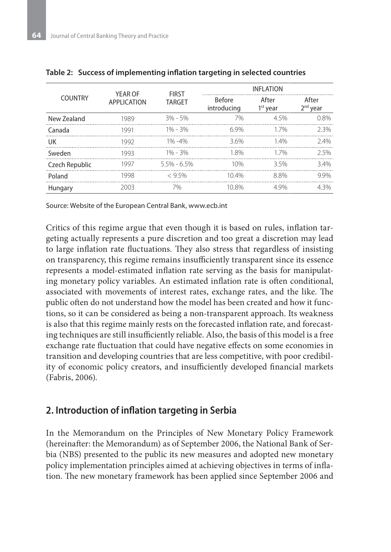| <b>COUNTRY</b> | YEAR OF<br>APPLICATION | <b>FIRST</b><br><b>TARGET</b> | <b>INFLATION</b>             |                     |                     |
|----------------|------------------------|-------------------------------|------------------------------|---------------------|---------------------|
|                |                        |                               | <b>Before</b><br>introducing | After<br>$1st$ year | After<br>$2nd$ year |
| New Zealand    | 1989                   | $3\% - 5\%$                   | 7%                           | 4.5%                | 0.8%                |
| Canada         | 1991                   | $1\% - 3\%$                   | 69%                          | 17%                 | 2.3%                |
| UK             | 1992                   | $1\% - 4\%$                   | 3.6%                         | 14%                 | 74%                 |
| Sweden         | 1993                   | $1\% - 3\%$                   | 18%                          | 17%                 | 25%                 |
| Czech Republic | 1997                   | $5.5\% - 6.5\%$               | 10%                          | 35%                 | 34%                 |
| Poland         | 1998                   | < 95%                         | 104%                         | 88%                 | 99%                 |
| Hungary        | 2003                   | 7%                            | 10.8%                        | 49%                 | 4 3%                |

Source: Website of the European Central Bank, www.ecb.int

Critics of this regime argue that even though it is based on rules, inflation targeting actually represents a pure discretion and too great a discretion may lead to large inflation rate fluctuations. They also stress that regardless of insisting on transparency, this regime remains insufficiently transparent since its essence represents a model-estimated inflation rate serving as the basis for manipulating monetary policy variables. An estimated inflation rate is often conditional, associated with movements of interest rates, exchange rates, and the like. The public often do not understand how the model has been created and how it functions, so it can be considered as being a non-transparent approach. Its weakness is also that this regime mainly rests on the forecasted inflation rate, and forecasting techniques are still insufficiently reliable. Also, the basis of this model is a free exchange rate fluctuation that could have negative effects on some economies in transition and developing countries that are less competitive, with poor credibility of economic policy creators, and insufficiently developed financial markets (Fabris, 2006).

### **2. Introduction of inflation targeting in Serbia**

In the Memorandum on the Principles of New Monetary Policy Framework (hereinafter: the Memorandum) as of September 2006, the National Bank of Serbia (NBS) presented to the public its new measures and adopted new monetary policy implementation principles aimed at achieving objectives in terms of inflation. The new monetary framework has been applied since September 2006 and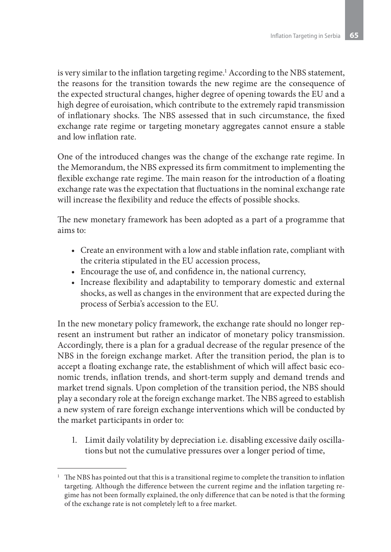is very similar to the inflation targeting regime.1 According to the NBS statement, the reasons for the transition towards the new regime are the consequence of the expected structural changes, higher degree of opening towards the EU and a high degree of euroisation, which contribute to the extremely rapid transmission of inflationary shocks. The NBS assessed that in such circumstance, the fixed exchange rate regime or targeting monetary aggregates cannot ensure a stable and low inflation rate.

One of the introduced changes was the change of the exchange rate regime. In the Memorandum, the NBS expressed its firm commitment to implementing the flexible exchange rate regime. The main reason for the introduction of a floating exchange rate was the expectation that fluctuations in the nominal exchange rate will increase the flexibility and reduce the effects of possible shocks.

The new monetary framework has been adopted as a part of a programme that aims to:

- Create an environment with a low and stable inflation rate, compliant with the criteria stipulated in the EU accession process,
- Encourage the use of, and confidence in, the national currency,
- Increase flexibility and adaptability to temporary domestic and external shocks, as well as changes in the environment that are expected during the process of Serbia's accession to the EU.

In the new monetary policy framework, the exchange rate should no longer represent an instrument but rather an indicator of monetary policy transmission. Accordingly, there is a plan for a gradual decrease of the regular presence of the NBS in the foreign exchange market. After the transition period, the plan is to accept a floating exchange rate, the establishment of which will affect basic economic trends, inflation trends, and short-term supply and demand trends and market trend signals. Upon completion of the transition period, the NBS should play a secondary role at the foreign exchange market. The NBS agreed to establish a new system of rare foreign exchange interventions which will be conducted by the market participants in order to:

1. Limit daily volatility by depreciation i.e. disabling excessive daily oscillations but not the cumulative pressures over a longer period of time,

<sup>1</sup> The NBS has pointed out that this is a transitional regime to complete the transition to inflation targeting. Although the difference between the current regime and the inflation targeting regime has not been formally explained, the only difference that can be noted is that the forming of the exchange rate is not completely left to a free market.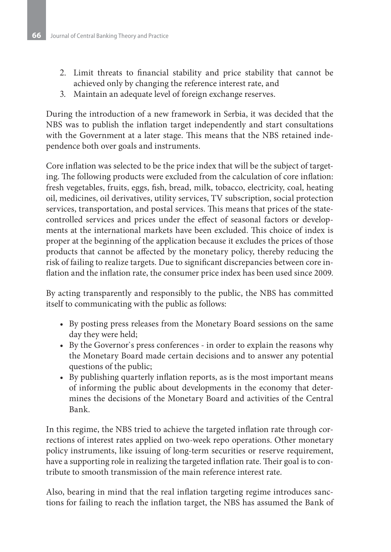- 2. Limit threats to financial stability and price stability that cannot be achieved only by changing the reference interest rate, and
- 3. Maintain an adequate level of foreign exchange reserves.

During the introduction of a new framework in Serbia, it was decided that the NBS was to publish the inflation target independently and start consultations with the Government at a later stage. This means that the NBS retained independence both over goals and instruments.

Core inflation was selected to be the price index that will be the subject of targeting. The following products were excluded from the calculation of core inflation: fresh vegetables, fruits, eggs, fish, bread, milk, tobacco, electricity, coal, heating oil, medicines, oil derivatives, utility services, TV subscription, social protection services, transportation, and postal services. This means that prices of the statecontrolled services and prices under the effect of seasonal factors or developments at the international markets have been excluded. This choice of index is proper at the beginning of the application because it excludes the prices of those products that cannot be affected by the monetary policy, thereby reducing the risk of failing to realize targets. Due to significant discrepancies between core inflation and the inflation rate, the consumer price index has been used since 2009.

By acting transparently and responsibly to the public, the NBS has committed itself to communicating with the public as follows:

- By posting press releases from the Monetary Board sessions on the same day they were held;
- • By the Governor`s press conferences in order to explain the reasons why the Monetary Board made certain decisions and to answer any potential questions of the public;
- • By publishing quarterly inflation reports, as is the most important means of informing the public about developments in the economy that determines the decisions of the Monetary Board and activities of the Central Bank.

In this regime, the NBS tried to achieve the targeted inflation rate through corrections of interest rates applied on two-week repo operations. Other monetary policy instruments, like issuing of long-term securities or reserve requirement, have a supporting role in realizing the targeted inflation rate. Their goal is to contribute to smooth transmission of the main reference interest rate.

Also, bearing in mind that the real inflation targeting regime introduces sanctions for failing to reach the inflation target, the NBS has assumed the Bank of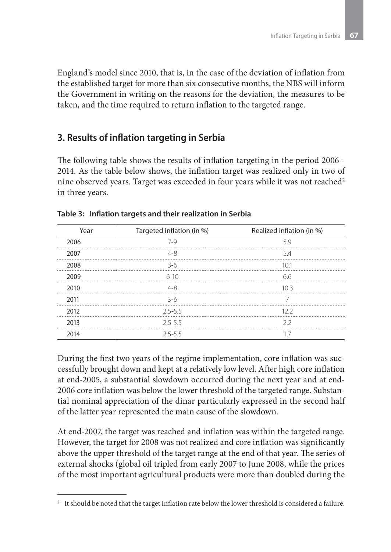England's model since 2010, that is, in the case of the deviation of inflation from the established target for more than six consecutive months, the NBS will inform the Government in writing on the reasons for the deviation, the measures to be taken, and the time required to return inflation to the targeted range.

### **3. Results of inflation targeting in Serbia**

The following table shows the results of inflation targeting in the period 2006 - 2014. As the table below shows, the inflation target was realized only in two of nine observed years. Target was exceeded in four years while it was not reached<sup>2</sup> in three years.

| Year | Targeted inflation (in %) | Realized inflation (in %) |
|------|---------------------------|---------------------------|
| 2006 | $7-9$                     | 59                        |
| 2007 | $4 - 8$                   | 5.4                       |
| 2008 | $3-6$                     | 10 <sub>1</sub>           |
| 2009 | $6 - 10$                  | 6.6                       |
| 2010 | $4 - 8$                   | 10.3                      |
| 2011 | $3-6$                     |                           |
| 2012 | $2.5 - 5.5$               | 122                       |
| 2013 | $2.5 - 5.5$               | 22                        |
| 2014 | $2.5 - 5.5$               |                           |

**Table 3: Inflation targets and their realization in Serbia**

During the first two years of the regime implementation, core inflation was successfully brought down and kept at a relatively low level. After high core inflation at end-2005, a substantial slowdown occurred during the next year and at end-2006 core inflation was below the lower threshold of the targeted range. Substantial nominal appreciation of the dinar particularly expressed in the second half of the latter year represented the main cause of the slowdown.

At end-2007, the target was reached and inflation was within the targeted range. However, the target for 2008 was not realized and core inflation was significantly above the upper threshold of the target range at the end of that year. The series of external shocks (global oil tripled from early 2007 to June 2008, while the prices of the most important agricultural products were more than doubled during the

 $^{\rm 2}~$  It should be noted that the target inflation rate below the lower threshold is considered a failure.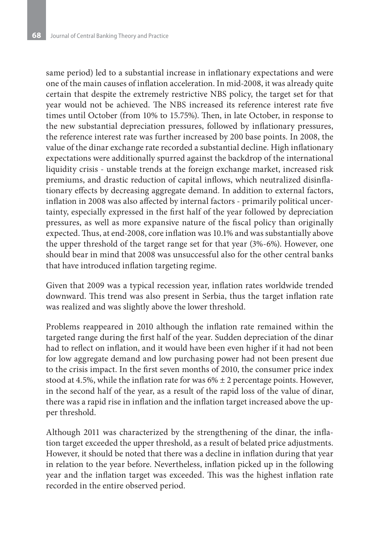same period) led to a substantial increase in inflationary expectations and were one of the main causes of inflation acceleration. In mid-2008, it was already quite certain that despite the extremely restrictive NBS policy, the target set for that year would not be achieved. The NBS increased its reference interest rate five times until October (from 10% to 15.75%). Then, in late October, in response to the new substantial depreciation pressures, followed by inflationary pressures, the reference interest rate was further increased by 200 base points. In 2008, the value of the dinar exchange rate recorded a substantial decline. High inflationary expectations were additionally spurred against the backdrop of the international liquidity crisis - unstable trends at the foreign exchange market, increased risk premiums, and drastic reduction of capital inflows, which neutralized disinflationary effects by decreasing aggregate demand. In addition to external factors, inflation in 2008 was also affected by internal factors - primarily political uncertainty, especially expressed in the first half of the year followed by depreciation pressures, as well as more expansive nature of the fiscal policy than originally expected. Thus, at end-2008, core inflation was 10.1% and was substantially above the upper threshold of the target range set for that year (3%-6%). However, one should bear in mind that 2008 was unsuccessful also for the other central banks that have introduced inflation targeting regime.

Given that 2009 was a typical recession year, inflation rates worldwide trended downward. This trend was also present in Serbia, thus the target inflation rate was realized and was slightly above the lower threshold.

Problems reappeared in 2010 although the inflation rate remained within the targeted range during the first half of the year. Sudden depreciation of the dinar had to reflect on inflation, and it would have been even higher if it had not been for low aggregate demand and low purchasing power had not been present due to the crisis impact. In the first seven months of 2010, the consumer price index stood at 4.5%, while the inflation rate for was  $6\% \pm 2$  percentage points. However, in the second half of the year, as a result of the rapid loss of the value of dinar, there was a rapid rise in inflation and the inflation target increased above the upper threshold.

Although 2011 was characterized by the strengthening of the dinar, the inflation target exceeded the upper threshold, as a result of belated price adjustments. However, it should be noted that there was a decline in inflation during that year in relation to the year before. Nevertheless, inflation picked up in the following year and the inflation target was exceeded. This was the highest inflation rate recorded in the entire observed period.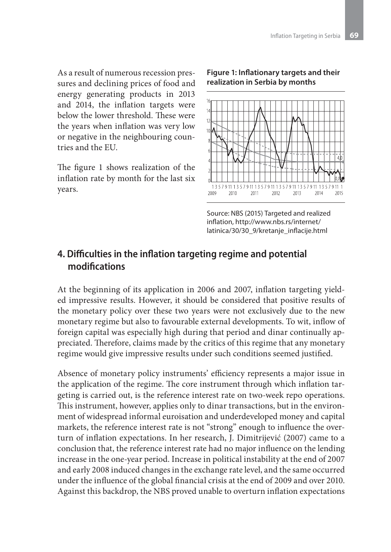As a result of numerous recession pressures and declining prices of food and energy generating products in 2013 and 2014, the inflation targets were below the lower threshold. These were the years when inflation was very low or negative in the neighbouring countries and the EU.

The figure 1 shows realization of the inflation rate by month for the last six years.

#### **Figure 1: Inflationary targets and their realization in Serbia by months**



Source: NBS (2015) Targeted and realized inflation, http://www.nbs.rs/internet/ latinica/30/30\_9/kretanje\_inflacije.html

## **4. Difficulties in the inflation targeting regime and potential modifications**

At the beginning of its application in 2006 and 2007, inflation targeting yielded impressive results. However, it should be considered that positive results of the monetary policy over these two years were not exclusively due to the new monetary regime but also to favourable external developments. To wit, inflow of foreign capital was especially high during that period and dinar continually appreciated. Therefore, claims made by the critics of this regime that any monetary regime would give impressive results under such conditions seemed justified.

Absence of monetary policy instruments' efficiency represents a major issue in the application of the regime. The core instrument through which inflation targeting is carried out, is the reference interest rate on two-week repo operations. This instrument, however, applies only to dinar transactions, but in the environment of widespread informal euroisation and underdeveloped money and capital markets, the reference interest rate is not "strong" enough to influence the overturn of inflation expectations. In her research, J. Dimitrijević (2007) came to a conclusion that, the reference interest rate had no major influence on the lending increase in the one-year period. Increase in political instability at the end of 2007 and early 2008 induced changes in the exchange rate level, and the same occurred under the influence of the global financial crisis at the end of 2009 and over 2010. Against this backdrop, the NBS proved unable to overturn inflation expectations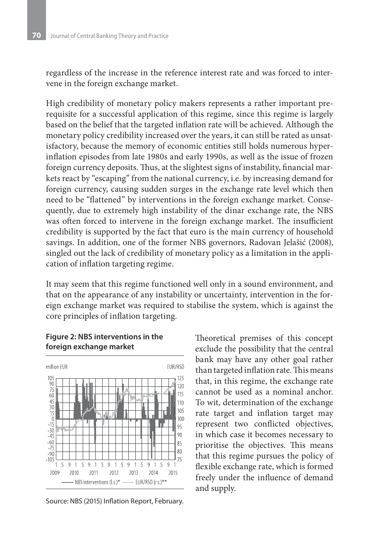regardless of the increase in the reference interest rate and was forced to intervene in the foreign exchange market.

High credibility of monetary policy makers represents a rather important prerequisite for a successful application of this regime, since this regime is largely based on the belief that the targeted inflation rate will be achieved. Although the monetary policy credibility increased over the years, it can still be rated as unsatisfactory, because the memory of economic entities still holds numerous hyperinflation episodes from late 1980s and early 1990s, as well as the issue of frozen foreign currency deposits. Thus, at the slightest signs of instability, financial markets react by "escaping" from the national currency, i.e. by increasing demand for foreign currency, causing sudden surges in the exchange rate level which then need to be "flattened" by interventions in the foreign exchange market. Consequently, due to extremely high instability of the dinar exchange rate, the NBS was often forced to intervene in the foreign exchange market. The insufficient credibility is supported by the fact that euro is the main currency of household savings. In addition, one of the former NBS governors, Radovan Jelašić (2008), singled out the lack of credibility of monetary policy as a limitation in the application of inflation targeting regime.

It may seem that this regime functioned well only in a sound environment, and that on the appearance of any instability or uncertainty, intervention in the foreign exchange market was required to stabilise the system, which is against the core principles of inflation targeting.

#### **Figure 2: NBS interventions in the foreign exchange market**



Source: NBS (2015) Inflation Report, February.

Theoretical premises of this concept exclude the possibility that the central bank may have any other goal rather than targeted inflation rate. This means that, in this regime, the exchange rate cannot be used as a nominal anchor. To wit, determination of the exchange rate target and inflation target may represent two conflicted objectives, in which case it becomes necessary to prioritise the objectives. This means that this regime pursues the policy of flexible exchange rate, which is formed freely under the influence of demand and supply.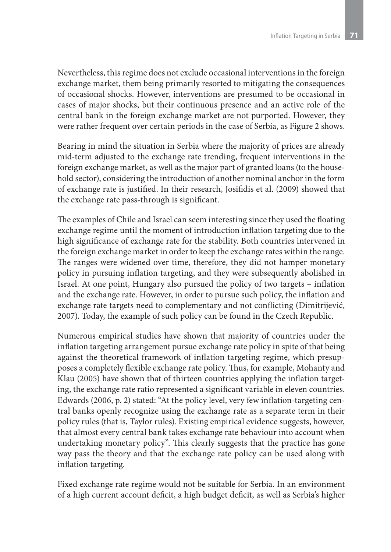Nevertheless, this regime does not exclude occasional interventions in the foreign exchange market, them being primarily resorted to mitigating the consequences of occasional shocks. However, interventions are presumed to be occasional in cases of major shocks, but their continuous presence and an active role of the central bank in the foreign exchange market are not purported. However, they were rather frequent over certain periods in the case of Serbia, as Figure 2 shows.

Bearing in mind the situation in Serbia where the majority of prices are already mid-term adjusted to the exchange rate trending, frequent interventions in the foreign exchange market, as well as the major part of granted loans (to the household sector), considering the introduction of another nominal anchor in the form of exchange rate is justified. In their research, Josifidis et al. (2009) showed that the exchange rate pass-through is significant.

The examples of Chile and Israel can seem interesting since they used the floating exchange regime until the moment of introduction inflation targeting due to the high significance of exchange rate for the stability. Both countries intervened in the foreign exchange market in order to keep the exchange rates within the range. The ranges were widened over time, therefore, they did not hamper monetary policy in pursuing inflation targeting, and they were subsequently abolished in Israel. At one point, Hungary also pursued the policy of two targets – inflation and the exchange rate. However, in order to pursue such policy, the inflation and exchange rate targets need to complementary and not conflicting (Dimitrijević, 2007). Today, the example of such policy can be found in the Czech Republic.

Numerous empirical studies have shown that majority of countries under the inflation targeting arrangement pursue exchange rate policy in spite of that being against the theoretical framework of inflation targeting regime, which presupposes a completely flexible exchange rate policy. Thus, for example, Mohanty and Klau (2005) have shown that of thirteen countries applying the inflation targeting, the exchange rate ratio represented a significant variable in eleven countries. Edwards (2006, p. 2) stated: "At the policy level, very few inflation-targeting central banks openly recognize using the exchange rate as a separate term in their policy rules (that is, Taylor rules). Existing empirical evidence suggests, however, that almost every central bank takes exchange rate behaviour into account when undertaking monetary policy". This clearly suggests that the practice has gone way pass the theory and that the exchange rate policy can be used along with inflation targeting.

Fixed exchange rate regime would not be suitable for Serbia. In an environment of a high current account deficit, a high budget deficit, as well as Serbia's higher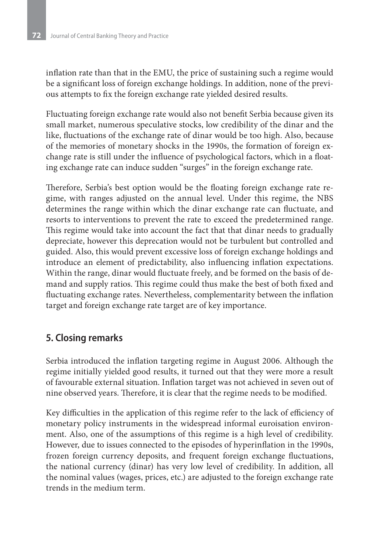inflation rate than that in the EMU, the price of sustaining such a regime would be a significant loss of foreign exchange holdings. In addition, none of the previous attempts to fix the foreign exchange rate yielded desired results.

Fluctuating foreign exchange rate would also not benefit Serbia because given its small market, numerous speculative stocks, low credibility of the dinar and the like, fluctuations of the exchange rate of dinar would be too high. Also, because of the memories of monetary shocks in the 1990s, the formation of foreign exchange rate is still under the influence of psychological factors, which in a floating exchange rate can induce sudden "surges" in the foreign exchange rate.

Therefore, Serbia's best option would be the floating foreign exchange rate regime, with ranges adjusted on the annual level. Under this regime, the NBS determines the range within which the dinar exchange rate can fluctuate, and resorts to interventions to prevent the rate to exceed the predetermined range. This regime would take into account the fact that that dinar needs to gradually depreciate, however this deprecation would not be turbulent but controlled and guided. Also, this would prevent excessive loss of foreign exchange holdings and introduce an element of predictability, also influencing inflation expectations. Within the range, dinar would fluctuate freely, and be formed on the basis of demand and supply ratios. This regime could thus make the best of both fixed and fluctuating exchange rates. Nevertheless, complementarity between the inflation target and foreign exchange rate target are of key importance.

### **5. Closing remarks**

Serbia introduced the inflation targeting regime in August 2006. Although the regime initially yielded good results, it turned out that they were more a result of favourable external situation. Inflation target was not achieved in seven out of nine observed years. Therefore, it is clear that the regime needs to be modified.

Key difficulties in the application of this regime refer to the lack of efficiency of monetary policy instruments in the widespread informal euroisation environment. Also, one of the assumptions of this regime is a high level of credibility. However, due to issues connected to the episodes of hyperinflation in the 1990s, frozen foreign currency deposits, and frequent foreign exchange fluctuations, the national currency (dinar) has very low level of credibility. In addition, all the nominal values (wages, prices, etc.) are adjusted to the foreign exchange rate trends in the medium term.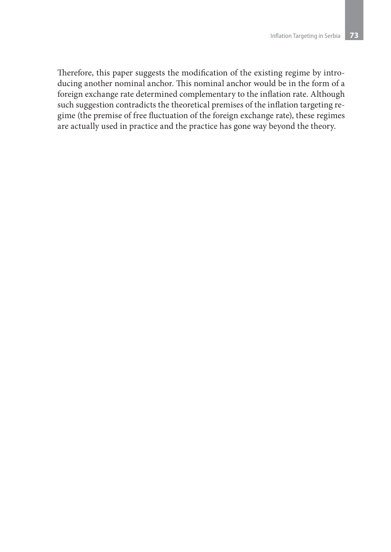Therefore, this paper suggests the modification of the existing regime by introducing another nominal anchor. This nominal anchor would be in the form of a foreign exchange rate determined complementary to the inflation rate. Although such suggestion contradicts the theoretical premises of the inflation targeting regime (the premise of free fluctuation of the foreign exchange rate), these regimes are actually used in practice and the practice has gone way beyond the theory.